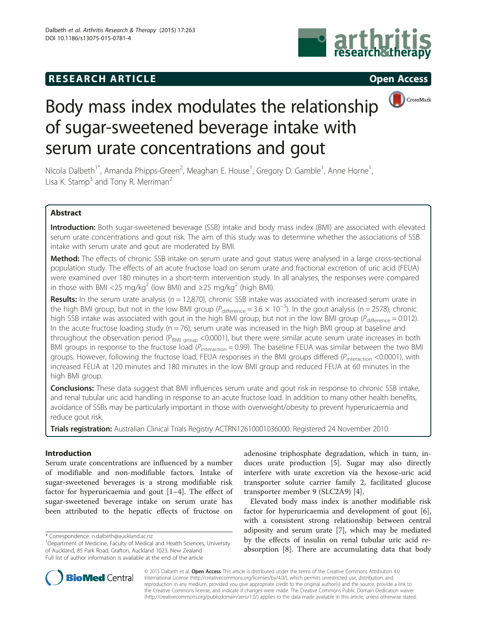## **RESEARCH ARTICLE Example 2014 CONSIDERING CONSIDERING CONSIDERING CONSIDERING CONSIDERING CONSIDERING CONSIDERING CONSIDERING CONSIDERING CONSIDERING CONSIDERING CONSIDERING CONSIDERING CONSIDERING CONSIDERING CONSIDE**





# Body mass index modulates the relationship of sugar-sweetened beverage intake with serum urate concentrations and gout

Nicola Dalbeth<sup>1\*</sup>, Amanda Phipps-Green<sup>2</sup>, Meaghan E. House<sup>1</sup>, Gregory D. Gamble<sup>1</sup>, Anne Horne<sup>1</sup> , Lisa K. Stamp<sup>3</sup> and Tony R. Merriman<sup>2</sup>

### Abstract

Introduction: Both sugar-sweetened beverage (SSB) intake and body mass index (BMI) are associated with elevated serum urate concentrations and gout risk. The aim of this study was to determine whether the associations of SSB intake with serum urate and gout are moderated by BMI.

Method: The effects of chronic SSB intake on serum urate and gout status were analysed in a large cross-sectional population study. The effects of an acute fructose load on serum urate and fractional excretion of uric acid (FEUA) were examined over 180 minutes in a short-term intervention study. In all analyses, the responses were compared in those with BMI <25 mg/kg<sup>2</sup> (low BMI) and ≥25 mg/kg<sup>2</sup> (high BMI).

Results: In the serum urate analysis ( $n = 12,870$ ), chronic SSB intake was associated with increased serum urate in the high BMI group, but not in the low BMI group ( $P_{difference}$  = 3.6  $\times$  10<sup>-3</sup>). In the gout analysis (n = 2578), chronic high SSB intake was associated with gout in the high BMI group, but not in the low BMI group ( $P_{\text{difference}} = 0.012$ ). In the acute fructose loading study ( $n = 76$ ), serum urate was increased in the high BMI group at baseline and throughout the observation period ( $P_{BMI}$  group <0.0001), but there were similar acute serum urate increases in both BMI groups in response to the fructose load ( $P_{interaction} = 0.99$ ). The baseline FEUA was similar between the two BMI groups. However, following the fructose load, FEUA responses in the BMI groups differed ( $P_{interaction}$  <0.0001), with increased FEUA at 120 minutes and 180 minutes in the low BMI group and reduced FEUA at 60 minutes in the high BMI group.

**Conclusions:** These data suggest that BMI influences serum urate and gout risk in response to chronic SSB intake, and renal tubular uric acid handling in response to an acute fructose load. In addition to many other health benefits, avoidance of SSBs may be particularly important in those with overweight/obesity to prevent hyperuricaemia and reduce gout risk.

Trials registration: Australian Clinical Trials Registry [ACTRN12610001036000](https://www.anzctr.org.au/Trial/Registration/TrialReview.aspx?id=336266). Registered 24 November 2010.

#### Introduction

Serum urate concentrations are influenced by a number of modifiable and non-modifiable factors. Intake of sugar-sweetened beverages is a strong modifiable risk factor for hyperuricaemia and gout [\[1](#page-6-0)–[4\]](#page-6-0). The effect of sugar-sweetened beverage intake on serum urate has been attributed to the hepatic effects of fructose on

adenosine triphosphate degradation, which in turn, induces urate production [\[5](#page-6-0)]. Sugar may also directly interfere with urate excretion via the hexose-uric acid transporter solute carrier family 2, facilitated glucose transporter member 9 (SLC2A9) [[4](#page-6-0)].

Elevated body mass index is another modifiable risk factor for hyperuricaemia and development of gout [\[6](#page-6-0)], with a consistent strong relationship between central adiposity and serum urate [[7\]](#page-6-0), which may be mediated by the effects of insulin on renal tubular uric acid reabsorption [\[8\]](#page-6-0). There are accumulating data that body



© 2015 Dalbeth et al. Open Access This article is distributed under the terms of the Creative Commons Attribution 4.0 International License [\(http://creativecommons.org/licenses/by/4.0/](http://creativecommons.org/licenses/by/4.0/)), which permits unrestricted use, distribution, and reproduction in any medium, provided you give appropriate credit to the original author(s) and the source, provide a link to the Creative Commons license, and indicate if changes were made. The Creative Commons Public Domain Dedication waiver [\(http://creativecommons.org/publicdomain/zero/1.0/](http://creativecommons.org/publicdomain/zero/1.0/)) applies to the data made available in this article, unless otherwise stated.

<sup>\*</sup> Correspondence: [n.dalbeth@auckland.ac.nz](mailto:n.dalbeth@auckland.ac.nz) <sup>1</sup>

<sup>&</sup>lt;sup>1</sup>Department of Medicine, Faculty of Medical and Health Sciences, University of Auckland, 85 Park Road, Grafton, Auckland 1023, New Zealand Full list of author information is available at the end of the article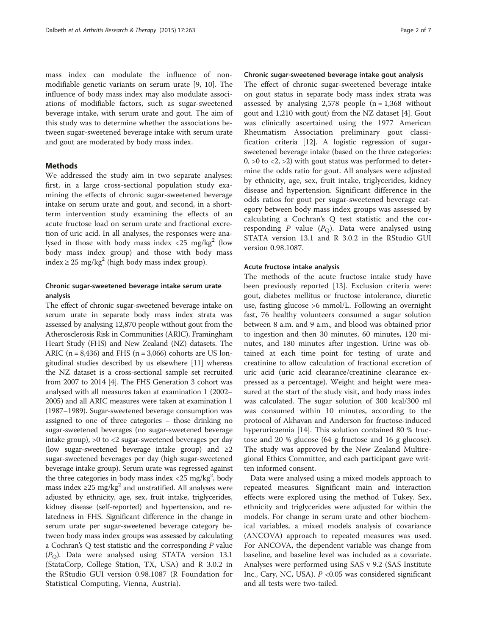mass index can modulate the influence of nonmodifiable genetic variants on serum urate [\[9](#page-6-0), [10](#page-6-0)]. The influence of body mass index may also modulate associations of modifiable factors, such as sugar-sweetened beverage intake, with serum urate and gout. The aim of this study was to determine whether the associations between sugar-sweetened beverage intake with serum urate and gout are moderated by body mass index.

#### Methods

We addressed the study aim in two separate analyses: first, in a large cross-sectional population study examining the effects of chronic sugar-sweetened beverage intake on serum urate and gout, and second, in a shortterm intervention study examining the effects of an acute fructose load on serum urate and fractional excretion of uric acid. In all analyses, the responses were analysed in those with body mass index  $\langle 25 \rangle$  mg/kg<sup>2</sup> (low body mass index group) and those with body mass index ≥ 25 mg/kg<sup>2</sup> (high body mass index group).

#### Chronic sugar-sweetened beverage intake serum urate analysis

The effect of chronic sugar-sweetened beverage intake on serum urate in separate body mass index strata was assessed by analysing 12,870 people without gout from the Atherosclerosis Risk in Communities (ARIC), Framingham Heart Study (FHS) and New Zealand (NZ) datasets. The ARIC ( $n = 8,436$ ) and FHS ( $n = 3,066$ ) cohorts are US longitudinal studies described by us elsewhere [[11](#page-6-0)] whereas the NZ dataset is a cross-sectional sample set recruited from 2007 to 2014 [\[4\]](#page-6-0). The FHS Generation 3 cohort was analysed with all measures taken at examination 1 (2002– 2005) and all ARIC measures were taken at examination 1 (1987–1989). Sugar-sweetened beverage consumption was assigned to one of three categories – those drinking no sugar-sweetened beverages (no sugar-sweetened beverage intake group), >0 to <2 sugar-sweetened beverages per day (low sugar-sweetened beverage intake group) and  $\geq 2$ sugar-sweetened beverages per day (high sugar-sweetened beverage intake group). Serum urate was regressed against the three categories in body mass index  $\langle 25 \text{ mg/kg}^2, \text{body}$ mass index ≥25 mg/kg<sup>2</sup> and unstratified. All analyses were adjusted by ethnicity, age, sex, fruit intake, triglycerides, kidney disease (self-reported) and hypertension, and relatedness in FHS. Significant difference in the change in serum urate per sugar-sweetened beverage category between body mass index groups was assessed by calculating a Cochran's  $Q$  test statistic and the corresponding  $P$  value  $(P<sub>O</sub>)$ . Data were analysed using STATA version 13.1 (StataCorp, College Station, TX, USA) and R 3.0.2 in the RStudio GUI version 0.98.1087 (R Foundation for Statistical Computing, Vienna, Austria).

#### Chronic sugar-sweetened beverage intake gout analysis

The effect of chronic sugar-sweetened beverage intake on gout status in separate body mass index strata was assessed by analysing  $2,578$  people (n = 1,368 without gout and 1,210 with gout) from the NZ dataset [\[4](#page-6-0)]. Gout was clinically ascertained using the 1977 American Rheumatism Association preliminary gout classification criteria [[12](#page-6-0)]. A logistic regression of sugarsweetened beverage intake (based on the three categories: 0,  $>0$  to  $<$ 2,  $>$ 2) with gout status was performed to determine the odds ratio for gout. All analyses were adjusted by ethnicity, age, sex, fruit intake, triglycerides, kidney disease and hypertension. Significant difference in the odds ratios for gout per sugar-sweetened beverage category between body mass index groups was assessed by calculating a Cochran's Q test statistic and the corresponding P value  $(P<sub>O</sub>)$ . Data were analysed using STATA version 13.1 and R 3.0.2 in the RStudio GUI version 0.98.1087.

#### Acute fructose intake analysis

The methods of the acute fructose intake study have been previously reported [[13\]](#page-6-0). Exclusion criteria were: gout, diabetes mellitus or fructose intolerance, diuretic use, fasting glucose >6 mmol/L. Following an overnight fast, 76 healthy volunteers consumed a sugar solution between 8 a.m. and 9 a.m., and blood was obtained prior to ingestion and then 30 minutes, 60 minutes, 120 minutes, and 180 minutes after ingestion. Urine was obtained at each time point for testing of urate and creatinine to allow calculation of fractional excretion of uric acid (uric acid clearance/creatinine clearance expressed as a percentage). Weight and height were measured at the start of the study visit, and body mass index was calculated. The sugar solution of 300 kcal/300 ml was consumed within 10 minutes, according to the protocol of Akhavan and Anderson for fructose-induced hyperuricaemia [\[14](#page-6-0)]. This solution contained 80 % fructose and 20 % glucose (64 g fructose and 16 g glucose). The study was approved by the New Zealand Multiregional Ethics Committee, and each participant gave written informed consent.

Data were analysed using a mixed models approach to repeated measures. Significant main and interaction effects were explored using the method of Tukey. Sex, ethnicity and triglycerides were adjusted for within the models. For change in serum urate and other biochemical variables, a mixed models analysis of covariance (ANCOVA) approach to repeated measures was used. For ANCOVA, the dependent variable was change from baseline, and baseline level was included as a covariate. Analyses were performed using SAS v 9.2 (SAS Institute Inc., Cary, NC, USA).  $P \le 0.05$  was considered significant and all tests were two-tailed.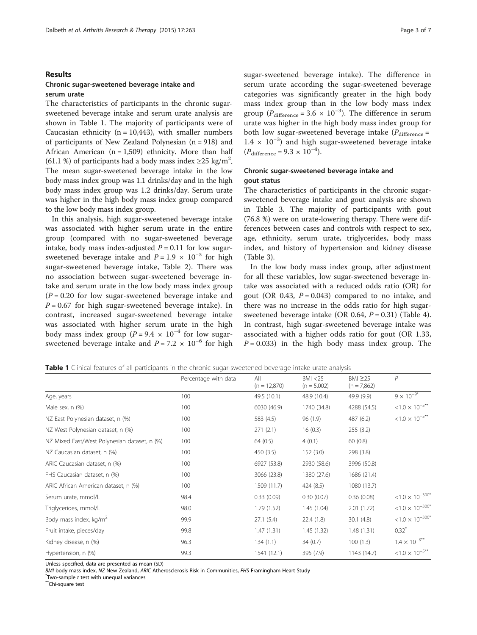#### Results

#### Chronic sugar-sweetened beverage intake and serum urate

The characteristics of participants in the chronic sugarsweetened beverage intake and serum urate analysis are shown in Table 1. The majority of participants were of Caucasian ethnicity ( $n = 10,443$ ), with smaller numbers of participants of New Zealand Polynesian (n = 918) and African American  $(n = 1,509)$  ethnicity. More than half (61.1 %) of participants had a body mass index  $\geq$ 25 kg/m<sup>2</sup>. The mean sugar-sweetened beverage intake in the low body mass index group was 1.1 drinks/day and in the high body mass index group was 1.2 drinks/day. Serum urate was higher in the high body mass index group compared to the low body mass index group.

In this analysis, high sugar-sweetened beverage intake was associated with higher serum urate in the entire group (compared with no sugar-sweetened beverage intake, body mass index-adjusted  $P = 0.11$  for low sugarsweetened beverage intake and  $P = 1.9 \times 10^{-3}$  for high sugar-sweetened beverage intake, Table [2\)](#page-3-0). There was no association between sugar-sweetened beverage intake and serum urate in the low body mass index group  $(P = 0.20$  for low sugar-sweetened beverage intake and  $P = 0.67$  for high sugar-sweetened beverage intake). In contrast, increased sugar-sweetened beverage intake was associated with higher serum urate in the high body mass index group ( $P = 9.4 \times 10^{-4}$  for low sugarsweetened beverage intake and  $P = 7.2 \times 10^{-6}$  for high sugar-sweetened beverage intake). The difference in serum urate according the sugar-sweetened beverage categories was significantly greater in the high body mass index group than in the low body mass index group ( $P_{difference} = 3.6 \times 10^{-3}$ ). The difference in serum urate was higher in the high body mass index group for both low sugar-sweetened beverage intake  $(P_{difference} =$ 1.4 × 10−<sup>3</sup> ) and high sugar-sweetened beverage intake  $(P_{\text{difference}} = 9.3 \times 10^{-4})$ .

#### Chronic sugar-sweetened beverage intake and gout status

The characteristics of participants in the chronic sugarsweetened beverage intake and gout analysis are shown in Table [3](#page-3-0). The majority of participants with gout (76.8 %) were on urate-lowering therapy. There were differences between cases and controls with respect to sex, age, ethnicity, serum urate, triglycerides, body mass index, and history of hypertension and kidney disease (Table [3\)](#page-3-0).

In the low body mass index group, after adjustment for all these variables, low sugar-sweetened beverage intake was associated with a reduced odds ratio (OR) for gout (OR 0.43,  $P = 0.043$ ) compared to no intake, and there was no increase in the odds ratio for high sugarsweetened beverage intake (OR 0.64,  $P = 0.31$ ) (Table [4](#page-4-0)). In contrast, high sugar-sweetened beverage intake was associated with a higher odds ratio for gout (OR 1.33,  $P = 0.033$ ) in the high body mass index group. The

|  |  |  |  |  | <b>Table 1</b> Clinical features of all participants in the chronic sugar-sweetened beverage intake urate analysis |  |  |  |  |  |  |  |  |
|--|--|--|--|--|--------------------------------------------------------------------------------------------------------------------|--|--|--|--|--|--|--|--|
|--|--|--|--|--|--------------------------------------------------------------------------------------------------------------------|--|--|--|--|--|--|--|--|

|                                              | Percentage with data | All<br>$(n = 12,870)$ | BM < 25<br>$(n = 5,002)$ | BMI $\geq$ 25<br>$(n = 7,862)$ | $\overline{P}$                  |
|----------------------------------------------|----------------------|-----------------------|--------------------------|--------------------------------|---------------------------------|
| Age, years                                   | 100                  | 49.5 (10.1)           | 48.9 (10.4)              | 49.9 (9.9)                     | $9 \times 10^{-9*}$             |
| Male sex, n (%)                              | 100                  | 6030 (46.9)           | 1740 (34.8)              | 4288 (54.5)                    | $< 1.0 \times 10^{-5**}$        |
| NZ East Polynesian dataset, n (%)            | 100                  | 583 (4.5)             | 96 (1.9)                 | 487 (6.2)                      | $< 1.0 \times 10^{-5^{**}}$     |
| NZ West Polynesian dataset, n (%)            | 100                  | 271(2.1)              | 16(0.3)                  | 255(3.2)                       |                                 |
| NZ Mixed East/West Polynesian dataset, n (%) | 100                  | 64(0.5)               | 4(0.1)                   | 60(0.8)                        |                                 |
| NZ Caucasian dataset, n (%)                  | 100                  | 450(3.5)              | 152(3.0)                 | 298 (3.8)                      |                                 |
| ARIC Caucasian dataset, n (%)                | 100                  | 6927 (53.8)           | 2930 (58.6)              | 3996 (50.8)                    |                                 |
| FHS Caucasian dataset, n (%)                 | 100                  | 3066 (23.8)           | 1380 (27.6)              | 1686 (21.4)                    |                                 |
| ARIC African American dataset, n (%)         | 100                  | 1509 (11.7)           | 424 (8.5)                | 1080 (13.7)                    |                                 |
| Serum urate, mmol/L                          | 98.4                 | 0.33(0.09)            | 0.30(0.07)               | 0.36(0.08)                     | $<\!1.0\times10^{-300^{\star}}$ |
| Triglycerides, mmol/L                        | 98.0                 | 1.79(1.52)            | 1.45(1.04)               | 2.01(1.72)                     | $<\!1.0\times10^{-300^*}$       |
| Body mass index, kg/m <sup>2</sup>           | 99.9                 | 27.1(5.4)             | 22.4(1.8)                | 30.1(4.8)                      | $<\!1.0\times10^{-300^*}$       |
| Fruit intake, pieces/day                     | 99.8                 | 1.47(1.31)            | 1.45(1.32)               | 1.48(1.31)                     | $0.32$ <sup>*</sup>             |
| Kidney disease, n (%)                        | 96.3                 | 134(1.1)              | 34(0.7)                  | 100(1.3)                       | $1.4 \times 10^{-3**}$          |
| Hypertension, n (%)                          | 99.3                 | 1541 (12.1)           | 395 (7.9)                | 1143 (14.7)                    | $< 1.0 \times 10^{-5^{**}}$     |

Unless specified, data are presented as mean (SD)

BMI body mass index, NZ New Zealand, ARIC Atherosclerosis Risk in Communities, FHS Framingham Heart Study

 $\displaystyle\int_{0}^{\infty}$ Two-sample  $t$  test with unequal variances<br> $\displaystyle\int_{0}^{\infty}$ Chi-square test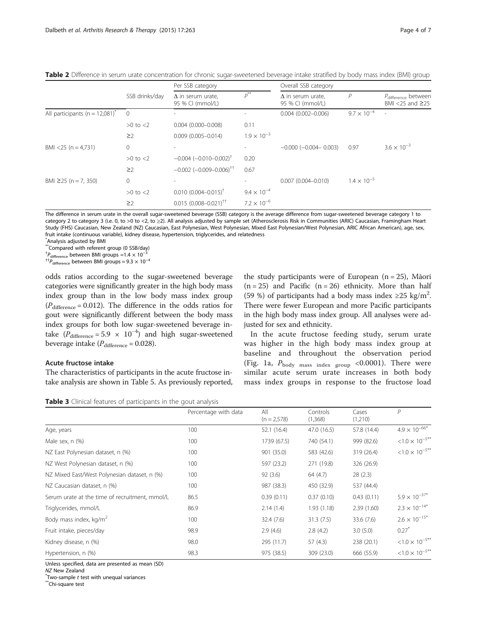|                                                |                | Per SSB category                             |                      | Overall SSB category                         |                      |                                                             |  |
|------------------------------------------------|----------------|----------------------------------------------|----------------------|----------------------------------------------|----------------------|-------------------------------------------------------------|--|
|                                                | SSB drinks/day | $\Delta$ in serum urate,<br>95 % CI (mmol/L) | $p^{**}$             | $\Delta$ in serum urate,<br>95 % CI (mmol/L) | P                    | P <sub>difference</sub> between<br>BMI $<$ 25 and $\geq$ 25 |  |
| All participants ( $n = 12,081$ ) <sup>*</sup> | $\overline{0}$ |                                              |                      | $0.004$ (0.002-0.006)                        | $9.7 \times 10^{-4}$ |                                                             |  |
|                                                | $>0$ to $<$ 2  | $0.004$ (0.000-0.008)                        | 0.11                 |                                              |                      |                                                             |  |
|                                                | $\geq$ 2       | $0.009$ (0.005-0.014)                        | $1.9 \times 10^{-3}$ |                                              |                      |                                                             |  |
| BMI <25 ( $n = 4.731$ )                        | $\mathbf{0}$   |                                              |                      | $-0.000$ $(-0.004 - 0.003)$                  | 0.97                 | $3.6 \times 10^{-3}$                                        |  |
|                                                | $>0$ to $<$ 2  | $-0.004$ $(-0.010 - 0.002)^{\dagger}$        | 0.20                 |                                              |                      |                                                             |  |
|                                                | $\geq$ 2       | $-0.002$ ( $-0.009 - 0.006$ ) <sup>++</sup>  | 0.67                 |                                              |                      |                                                             |  |
| BMI $\geq$ 25 (n = 7, 350)                     | $\mathbf{0}$   | $\overline{\phantom{a}}$                     |                      | $0.007(0.004 - 0.010)$                       | $1.4 \times 10^{-5}$ |                                                             |  |
|                                                | $>0$ to $<$ 2  | $0.010$ $(0.004 - 0.015)^{\dagger}$          | $9.4 \times 10^{-4}$ |                                              |                      |                                                             |  |
|                                                | $\geq$ 2       | $0.015$ (0.008-0.021) <sup>††</sup>          | $7.2 \times 10^{-6}$ |                                              |                      |                                                             |  |

<span id="page-3-0"></span>Table 2 Difference in serum urate concentration for chronic sugar-sweetened beverage intake stratified by body mass index (BMI) group

The difference in serum urate in the overall sugar-sweetened beverage (SSB) category is the average difference from sugar-sweetened beverage category 1 to category 2 to category 3 (i.e. 0, to >0 to <2, to ≥2). All analysis adjusted by sample set (Atherosclerosis Risk in Communities (ARIC) Caucasian, Framingham Heart Study (FHS) Caucasian, New Zealand (NZ) Caucasian, East Polynesian, West Polynesian, Mixed East Polynesian/West Polynesian, ARIC African American), age, sex, fruit intake (continuous variable), kidney disease, hypertension, triglycerides, and relatedness

\* Analysis adjusted by BMI

\*\*Compared with referent group (0 SSB/day)

<sup>†</sup> $P_{\text{difference}}$  between BMI groups =1.4  $\times$  10<sup>−3</sup>

<sup>††</sup> $P_{difference}$  between BMI groups = 9.3  $\times$  10<sup>-4</sup>

odds ratios according to the sugar-sweetened beverage categories were significantly greater in the high body mass index group than in the low body mass index group  $(P_{difference} = 0.012)$ . The difference in the odds ratios for gout were significantly different between the body mass index groups for both low sugar-sweetened beverage intake  $(P_{difference} = 5.9 \times 10^{-4})$  and high sugar-sweetened beverage intake  $(P_{difference} = 0.028)$ .

#### Acute fructose intake

The characteristics of participants in the acute fructose intake analysis are shown in Table [5.](#page-4-0) As previously reported,

the study participants were of European  $(n = 25)$ , Māori  $(n = 25)$  and Pacific  $(n = 26)$  ethnicity. More than half (59 %) of participants had a body mass index  $\geq$ 25 kg/m<sup>2</sup>. There were fewer European and more Pacific participants in the high body mass index group. All analyses were adjusted for sex and ethnicity.

In the acute fructose feeding study, serum urate was higher in the high body mass index group at baseline and throughout the observation period (Fig. [1a,](#page-5-0)  $P_{\text{body mass index group}}$  <0.0001). There were similar acute serum urate increases in both body mass index groups in response to the fructose load

| Table 3 Clinical features of participants in the gout analysis |  |  |  |
|----------------------------------------------------------------|--|--|--|
|----------------------------------------------------------------|--|--|--|

|                                                | Percentage with data | All<br>$(n = 2,578)$ | Controls<br>(1,368) | Cases<br>(1,210) | $\mathsf{P}$             |
|------------------------------------------------|----------------------|----------------------|---------------------|------------------|--------------------------|
| Age, years                                     | 100                  | 52.1 (16.4)          | 47.0 (16.5)         | 57.8 (14.4)      | $4.9 \times 10^{-66*}$   |
| Male sex, n (%)                                | 100                  | 1739 (67.5)          | 740 (54.1)          | 999 (82.6)       | $< 1.0 \times 10^{-5**}$ |
| NZ East Polynesian dataset, n (%)              | 100                  | 901 (35.0)           | 583 (42.6)          | 319 (26.4)       | $< 1.0 \times 10^{-5**}$ |
| NZ West Polynesian dataset, n (%)              | 100                  | 597 (23.2)           | 271 (19.8)          | 326 (26.9)       |                          |
| NZ Mixed East/West Polynesian dataset, n (%)   | 100                  | 92(3.6)              | 64 (4.7)            | 28(2.3)          |                          |
| NZ Caucasian dataset, n (%)                    | 100                  | 987 (38.3)           | 450 (32.9)          | 537 (44.4)       |                          |
| Serum urate at the time of recruitment, mmol/L | 86.5                 | 0.39(0.11)           | 0.37(0.10)          | 0.43(0.11)       | $5.9 \times 10^{-37*}$   |
| Triglycerides, mmol/L                          | 86.9                 | 2.14(1.4)            | 1.93(1.18)          | 2.39(1.60)       | $2.3 \times 10^{-14*}$   |
| Body mass index, kg/m <sup>2</sup>             | 100                  | 32.4(7.6)            | 31.3(7.5)           | 33.6 (7.6)       | $2.6 \times 10^{-15*}$   |
| Fruit intake, pieces/day                       | 98.9                 | 2.9(4.6)             | 2.8(4.2)            | 3.0(5.0)         | 0.27                     |
| Kidney disease, n (%)                          | 98.0                 | 295 (11.7)           | 57 (4.3)            | 238 (20.1)       | $< 1.0 \times 10^{-5**}$ |
| Hypertension, n (%)                            | 98.3                 | 975 (38.5)           | 309 (23.0)          | 666 (55.9)       | $< 1.0 \times 10^{-5**}$ |

Unless specified, data are presented as mean (SD)

 $\displaystyle{phantom{i}}^*$ Two-sample  $t$  test with unequal variances<br>\*\*Chi-square test

NZ New Zealand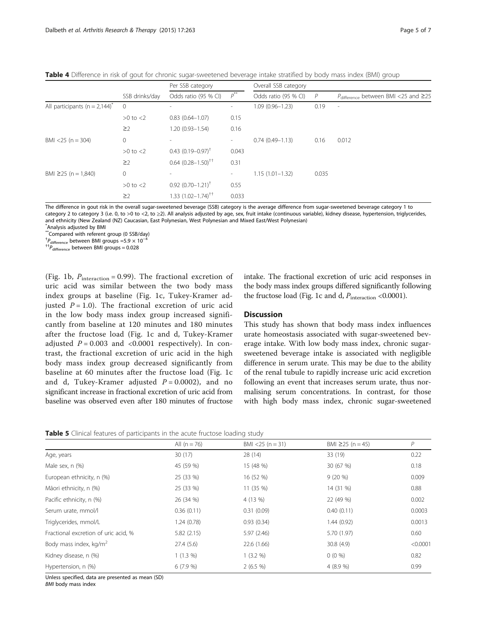<span id="page-4-0"></span>

|                                               |                | Per SSB category                 |                          | Overall SSB category |                |                                                |  |
|-----------------------------------------------|----------------|----------------------------------|--------------------------|----------------------|----------------|------------------------------------------------|--|
|                                               | SSB drinks/day | Odds ratio (95 % CI)             | $p^{**}$                 | Odds ratio (95 % CI) | $\overline{P}$ | $P_{difference}$ between BMI <25 and $\geq$ 25 |  |
| All participants ( $n = 2.144$ ) <sup>*</sup> | $\overline{0}$ | $\overline{\phantom{a}}$         | $\overline{\phantom{a}}$ | $1.09(0.96 - 1.23)$  | 0.19           | $\overline{\phantom{a}}$                       |  |
|                                               | $>0$ to $<$ 2  | $0.83(0.64 - 1.07)$              | 0.15                     |                      |                |                                                |  |
|                                               | $\geq$ 2       | $1.20(0.93 - 1.54)$              | 0.16                     |                      |                |                                                |  |
| $BMI < 25 (n = 304)$                          | 0              | $\overline{\phantom{a}}$         | -                        | $0.74(0.49 - 1.13)$  | 0.16           | 0.012                                          |  |
|                                               | $>0$ to $<$ 2  | $0.43$ $(0.19 - 0.97)^{\dagger}$ | 0.043                    |                      |                |                                                |  |
|                                               | $\geq$ 2       | $0.64$ $(0.28 - 1.50)^{+1}$      | 0.31                     |                      |                |                                                |  |
| BMI $\geq$ 25 (n = 1,840)                     | 0              | $\overline{\phantom{a}}$         | $\overline{\phantom{a}}$ | $1.15(1.01 - 1.32)$  | 0.035          |                                                |  |
|                                               | $>0$ to $<$ 2  | $0.92$ $(0.70 - 1.21)^{\dagger}$ | 0.55                     |                      |                |                                                |  |
|                                               | $\geq$ 2       | $1.33(1.02 - 1.74)^{+1}$         | 0.033                    |                      |                |                                                |  |

The difference in gout risk in the overall sugar-sweetened beverage (SSB) category is the average difference from sugar-sweetened beverage category 1 to category 2 to category 3 (i.e. 0, to >0 to <2, to ≥2). All analysis adjusted by age, sex, fruit intake (continuous variable), kidney disease, hypertension, triglycerides, and ethnicity (New Zealand (NZ) Caucasian, East Polynesian, West Polynesian and Mixed East/West Polynesian) \* Analysis adjusted by BMI

\*\*Compared with referent group (0 SSB/day)

 $^{†}P_{difference}$  between BMI groups =5.9  $\times$  10<sup>-4</sup>

 $^{17}P_{difference}$  between BMI groups = 0.028

(Fig. [1b,](#page-5-0)  $P_{interaction} = 0.99$ ). The fractional excretion of uric acid was similar between the two body mass index groups at baseline (Fig. [1c](#page-5-0), Tukey-Kramer adjusted  $P = 1.0$ ). The fractional excretion of uric acid in the low body mass index group increased significantly from baseline at 120 minutes and 180 minutes after the fructose load (Fig. [1c](#page-5-0) and [d](#page-5-0), Tukey-Kramer adjusted  $P = 0.003$  and <0.0001 respectively). In contrast, the fractional excretion of uric acid in the high body mass index group decreased significantly from baseline at 60 minutes after the fructose load (Fig. [1c](#page-5-0) and [d](#page-5-0), Tukey-Kramer adjusted  $P = 0.0002$ ), and no significant increase in fractional excretion of uric acid from baseline was observed even after 180 minutes of fructose intake. The fractional excretion of uric acid responses in the body mass index groups differed significantly following the fructose load (Fig. [1c](#page-5-0) and [d,](#page-5-0)  $P_{\text{interaction}}$  <0.0001).

#### **Discussion**

This study has shown that body mass index influences urate homeostasis associated with sugar-sweetened beverage intake. With low body mass index, chronic sugarsweetened beverage intake is associated with negligible difference in serum urate. This may be due to the ability of the renal tubule to rapidly increase uric acid excretion following an event that increases serum urate, thus normalising serum concentrations. In contrast, for those with high body mass index, chronic sugar-sweetened

Table 5 Clinical features of participants in the acute fructose loading study

|                                      | All $(n = 76)$ | $BMI < 25 (n = 31)$ | BMI $\geq$ 25 (n = 45) | P        |
|--------------------------------------|----------------|---------------------|------------------------|----------|
| Age, years                           | 30(17)         | 28 (14)             | 33 (19)                | 0.22     |
| Male sex, n (%)                      | 45 (59 %)      | 15 (48 %)           | 30 (67 %)              | 0.18     |
| European ethnicity, n (%)            | 25 (33 %)      | 16 (52 %)           | $9(20\%)$              | 0.009    |
| Māori ethnicity, n (%)               | 25 (33 %)      | 11 (35 %)           | 14 (31 %)              | 0.88     |
| Pacific ethnicity, n (%)             | 26 (34 %)      | 4 (13 %)            | 22 (49 %)              | 0.002    |
| Serum urate, mmol/l                  | 0.36(0.11)     | 0.31(0.09)          | 0.40(0.11)             | 0.0003   |
| Triglycerides, mmol/L                | 1.24(0.78)     | 0.93(0.34)          | 1.44(0.92)             | 0.0013   |
| Fractional excretion of uric acid, % | 5.82(2.15)     | 5.97(2.46)          | 5.70 (1.97)            | 0.60     |
| Body mass index, kg/m <sup>2</sup>   | 27.4(5.6)      | 22.6 (1.66)         | 30.8 (4.9)             | < 0.0001 |
| Kidney disease, n (%)                | $1(1.3\%)$     | 1(3.2%)             | $0(0\% )$              | 0.82     |
| Hypertension, n (%)                  | 6(7.9%         | 2(6.5%)             | 4(8.9%                 | 0.99     |

Unless specified, data are presented as mean (SD)

BMI body mass index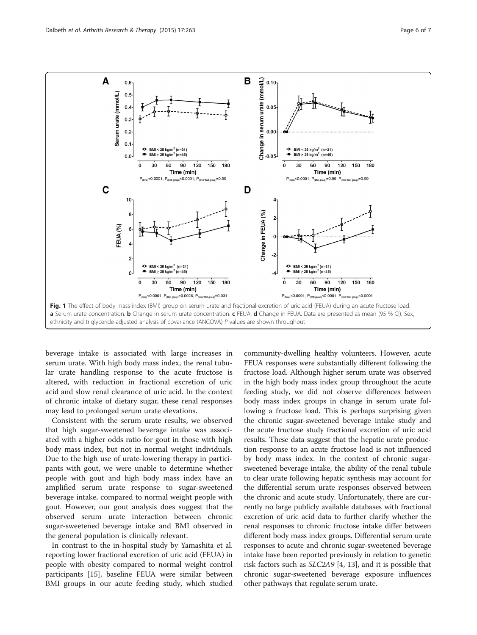<span id="page-5-0"></span>

beverage intake is associated with large increases in serum urate. With high body mass index, the renal tubular urate handling response to the acute fructose is altered, with reduction in fractional excretion of uric acid and slow renal clearance of uric acid. In the context of chronic intake of dietary sugar, these renal responses may lead to prolonged serum urate elevations.

Consistent with the serum urate results, we observed that high sugar-sweetened beverage intake was associated with a higher odds ratio for gout in those with high body mass index, but not in normal weight individuals. Due to the high use of urate-lowering therapy in participants with gout, we were unable to determine whether people with gout and high body mass index have an amplified serum urate response to sugar-sweetened beverage intake, compared to normal weight people with gout. However, our gout analysis does suggest that the observed serum urate interaction between chronic sugar-sweetened beverage intake and BMI observed in the general population is clinically relevant.

In contrast to the in-hospital study by Yamashita et al. reporting lower fractional excretion of uric acid (FEUA) in people with obesity compared to normal weight control participants [\[15](#page-6-0)], baseline FEUA were similar between BMI groups in our acute feeding study, which studied

community-dwelling healthy volunteers. However, acute FEUA responses were substantially different following the fructose load. Although higher serum urate was observed in the high body mass index group throughout the acute feeding study, we did not observe differences between body mass index groups in change in serum urate following a fructose load. This is perhaps surprising given the chronic sugar-sweetened beverage intake study and the acute fructose study fractional excretion of uric acid results. These data suggest that the hepatic urate production response to an acute fructose load is not influenced by body mass index. In the context of chronic sugarsweetened beverage intake, the ability of the renal tubule to clear urate following hepatic synthesis may account for the differential serum urate responses observed between the chronic and acute study. Unfortunately, there are currently no large publicly available databases with fractional excretion of uric acid data to further clarify whether the renal responses to chronic fructose intake differ between different body mass index groups. Differential serum urate responses to acute and chronic sugar-sweetened beverage intake have been reported previously in relation to genetic risk factors such as SLC2A9 [[4, 13\]](#page-6-0), and it is possible that chronic sugar-sweetened beverage exposure influences other pathways that regulate serum urate.